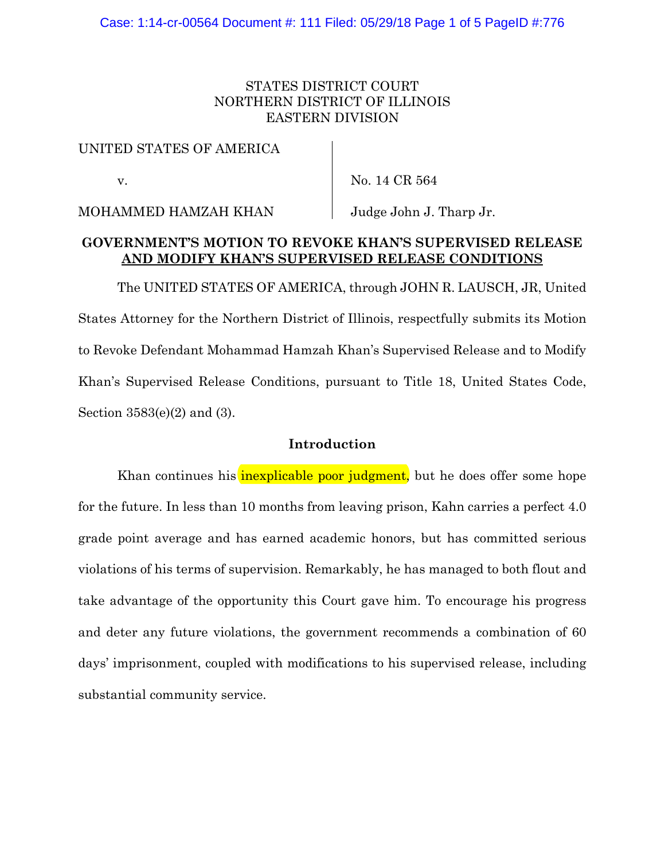## STATES DISTRICT COURT NORTHERN DISTRICT OF ILLINOIS EASTERN DIVISION

### UNITED STATES OF AMERICA

v.

No. 14 CR 564

MOHAMMED HAMZAH KHAN

Judge John J. Tharp Jr.

## **GOVERNMENT'S MOTION TO REVOKE KHAN'S SUPERVISED RELEASE AND MODIFY KHAN'S SUPERVISED RELEASE CONDITIONS**

The UNITED STATES OF AMERICA, through JOHN R. LAUSCH, JR, United States Attorney for the Northern District of Illinois, respectfully submits its Motion to Revoke Defendant Mohammad Hamzah Khan's Supervised Release and to Modify Khan's Supervised Release Conditions, pursuant to Title 18, United States Code, Section 3583(e)(2) and (3).

## **Introduction**

Khan continues his *inexplicable poor judgment*, but he does offer some hope for the future. In less than 10 months from leaving prison, Kahn carries a perfect 4.0 grade point average and has earned academic honors, but has committed serious violations of his terms of supervision. Remarkably, he has managed to both flout and take advantage of the opportunity this Court gave him. To encourage his progress and deter any future violations, the government recommends a combination of 60 days' imprisonment, coupled with modifications to his supervised release, including substantial community service.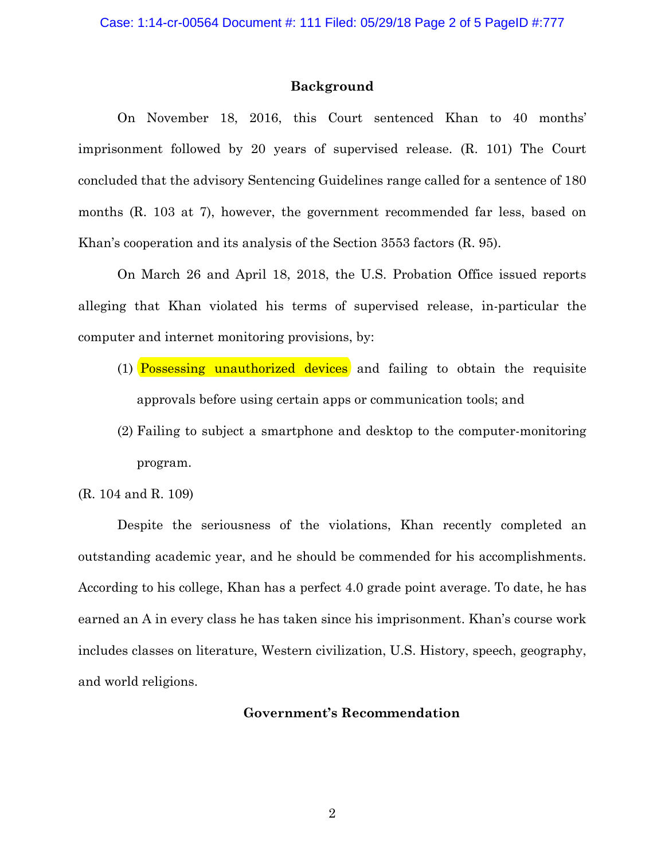#### **Background**

On November 18, 2016, this Court sentenced Khan to 40 months' imprisonment followed by 20 years of supervised release. (R. 101) The Court concluded that the advisory Sentencing Guidelines range called for a sentence of 180 months (R. 103 at 7), however, the government recommended far less, based on Khan's cooperation and its analysis of the Section 3553 factors (R. 95).

On March 26 and April 18, 2018, the U.S. Probation Office issued reports alleging that Khan violated his terms of supervised release, in-particular the computer and internet monitoring provisions, by:

- (1) **Possessing unauthorized devices** and failing to obtain the requisite approvals before using certain apps or communication tools; and
- (2) Failing to subject a smartphone and desktop to the computer-monitoring program.

(R. 104 and R. 109)

Despite the seriousness of the violations, Khan recently completed an outstanding academic year, and he should be commended for his accomplishments. According to his college, Khan has a perfect 4.0 grade point average. To date, he has earned an A in every class he has taken since his imprisonment. Khan's course work includes classes on literature, Western civilization, U.S. History, speech, geography, and world religions.

## **Government's Recommendation**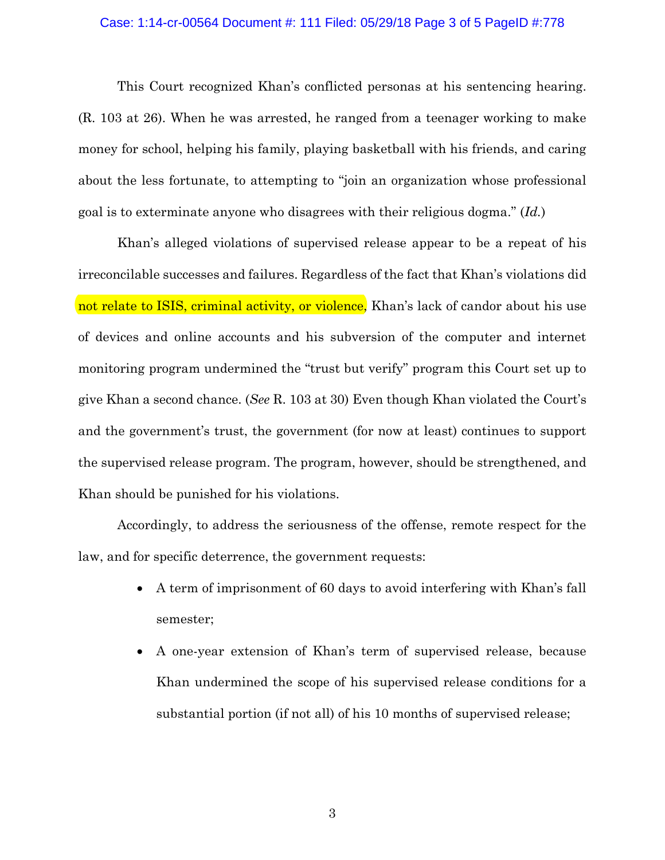#### Case: 1:14-cr-00564 Document #: 111 Filed: 05/29/18 Page 3 of 5 PageID #:778

This Court recognized Khan's conflicted personas at his sentencing hearing. (R. 103 at 26). When he was arrested, he ranged from a teenager working to make money for school, helping his family, playing basketball with his friends, and caring about the less fortunate, to attempting to "join an organization whose professional goal is to exterminate anyone who disagrees with their religious dogma." (*Id.*)

Khan's alleged violations of supervised release appear to be a repeat of his irreconcilable successes and failures. Regardless of the fact that Khan's violations did not relate to ISIS, criminal activity, or violence, Khan's lack of candor about his use of devices and online accounts and his subversion of the computer and internet monitoring program undermined the "trust but verify" program this Court set up to give Khan a second chance. (*See* R. 103 at 30) Even though Khan violated the Court's and the government's trust, the government (for now at least) continues to support the supervised release program. The program, however, should be strengthened, and Khan should be punished for his violations.

Accordingly, to address the seriousness of the offense, remote respect for the law, and for specific deterrence, the government requests:

- A term of imprisonment of 60 days to avoid interfering with Khan's fall semester;
- A one-year extension of Khan's term of supervised release, because Khan undermined the scope of his supervised release conditions for a substantial portion (if not all) of his 10 months of supervised release;

3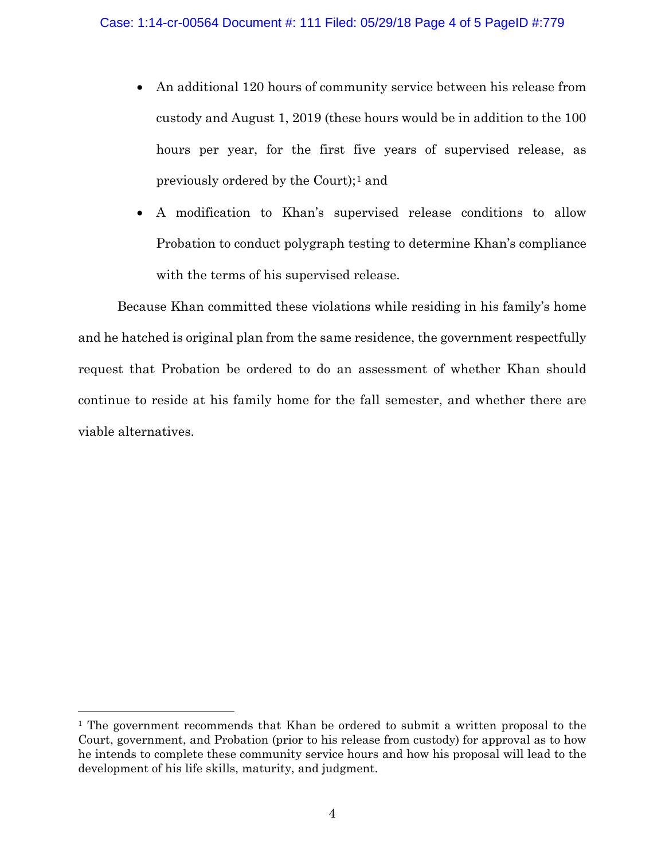- An additional 120 hours of community service between his release from custody and August 1, 2019 (these hours would be in addition to the 100 hours per year, for the first five years of supervised release, as previously ordered by the Court);[1](#page-3-0) and
- A modification to Khan's supervised release conditions to allow Probation to conduct polygraph testing to determine Khan's compliance with the terms of his supervised release.

Because Khan committed these violations while residing in his family's home and he hatched is original plan from the same residence, the government respectfully request that Probation be ordered to do an assessment of whether Khan should continue to reside at his family home for the fall semester, and whether there are viable alternatives.

<span id="page-3-0"></span><sup>&</sup>lt;sup>1</sup> The government recommends that Khan be ordered to submit a written proposal to the Court, government, and Probation (prior to his release from custody) for approval as to how he intends to complete these community service hours and how his proposal will lead to the development of his life skills, maturity, and judgment.